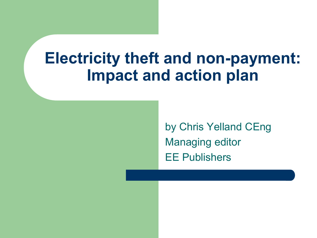# **Electricity theft and non-payment: Impact and action plan**

by Chris Yelland CEng Managing editor EE Publishers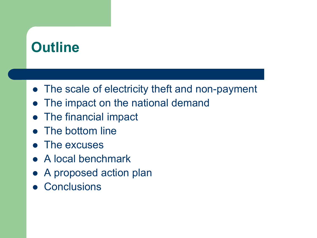## **Outline**

- The scale of electricity theft and non-payment
- The impact on the national demand
- The financial impact
- The bottom line
- The excuses
- A local benchmark
- A proposed action plan
- **Conclusions**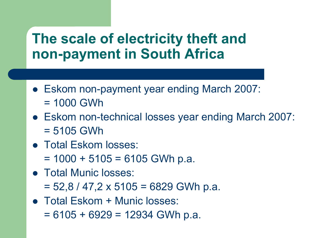### **The scale of electricity theft and non-payment in South Africa**

- Eskom non-payment year ending March 2007: = 1000 GWh
- Eskom non-technical losses year ending March 2007: = 5105 GWh
- Total Eskom losses:
	- $= 1000 + 5105 = 6105$  GWh p.a.
- Total Munic losses:
	- $= 52,8 / 47,2 \times 5105 = 6829$  GWh p.a.
- Total Eskom + Munic losses:  $= 6105 + 6929 = 12934$  GWh p.a.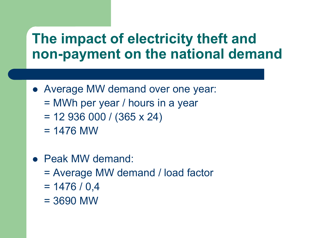### **The impact of electricity theft and non-payment on the national demand**

- Average MW demand over one year:
	- = MWh per year / hours in a year
	- $= 12936000 / (365 \times 24)$
	- $= 1476$  MW
- Peak MW demand:
	- = Average MW demand / load factor
	- $= 1476 / 0.4$
	- = 3690 MW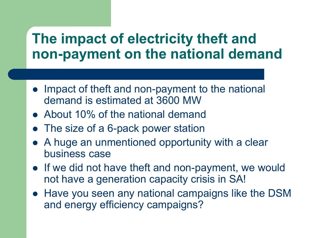### **The impact of electricity theft and non-payment on the national demand**

- Impact of theft and non-payment to the national demand is estimated at 3600 MW
- About 10% of the national demand
- The size of a 6-pack power station
- A huge an unmentioned opportunity with a clear business case
- If we did not have theft and non-payment, we would not have a generation capacity crisis in SA!
- Have you seen any national campaigns like the DSM and energy efficiency campaigns?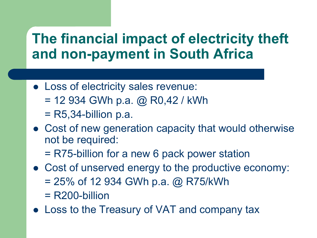### **The financial impact of electricity theft and non-payment in South Africa**

- Loss of electricity sales revenue:
	- $= 12934$  GWh p.a. @ R0,42 / kWh
	- $=$  R5,34-billion p.a.
- Cost of new generation capacity that would otherwise not be required:
	- = R75-billion for a new 6 pack power station
- Cost of unserved energy to the productive economy:  $= 25\%$  of 12 934 GWh p.a. @ R75/kWh
	- = R200-billion
- Loss to the Treasury of VAT and company tax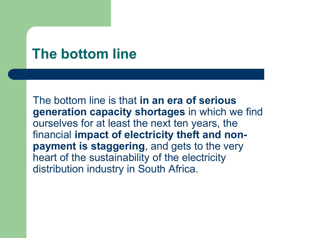#### **The bottom line**

The bottom line is that **in an era of serious generation capacity shortages** in which we find ourselves for at least the next ten years, the financial **impact of electricity theft and nonpayment is staggering**, and gets to the very heart of the sustainability of the electricity distribution industry in South Africa.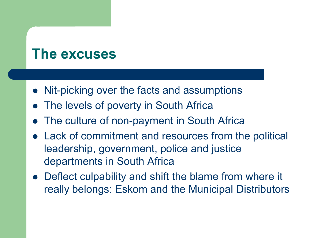#### **The excuses**

- Nit-picking over the facts and assumptions
- The levels of poverty in South Africa
- The culture of non-payment in South Africa
- Lack of commitment and resources from the political leadership, government, police and justice departments in South Africa
- Deflect culpability and shift the blame from where it really belongs: Eskom and the Municipal Distributors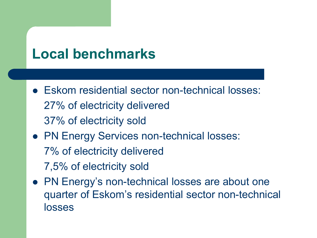## **Local benchmarks**

- Eskom residential sector non-technical losses: 27% of electricity delivered 37% of electricity sold
- PN Energy Services non-technical losses: 7% of electricity delivered 7,5% of electricity sold
- PN Energy's non-technical losses are about one quarter of Eskom's residential sector non-technical losses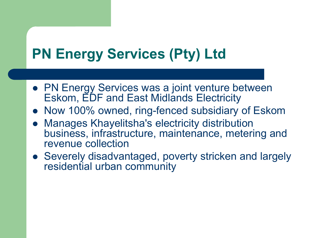## **PN Energy Services (Pty) Ltd**

- **PN Energy Services was a joint venture between** Eskom, EDF and East Midlands Electricity
- Now 100% owned, ring-fenced subsidiary of Eskom
- Manages Khayelitsha's electricity distribution business, infrastructure, maintenance, metering and revenue collection
- Severely disadvantaged, poverty stricken and largely residential urban community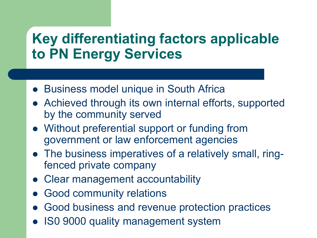## **Key differentiating factors applicable to PN Energy Services**

- Business model unique in South Africa
- Achieved through its own internal efforts, supported by the community served
- Without preferential support or funding from government or law enforcement agencies
- The business imperatives of a relatively small, ringfenced private company
- Clear management accountability
- Good community relations
- Good business and revenue protection practices
- ISO 9000 quality management system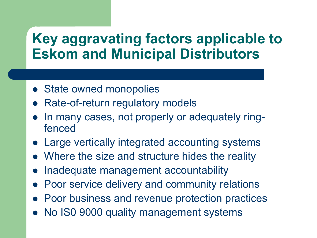### **Key aggravating factors applicable to Eskom and Municipal Distributors**

- State owned monopolies
- Rate-of-return regulatory models
- In many cases, not properly or adequately ringfenced
- Large vertically integrated accounting systems
- Where the size and structure hides the reality
- Inadequate management accountability
- Poor service delivery and community relations
- Poor business and revenue protection practices
- No IS0 9000 quality management systems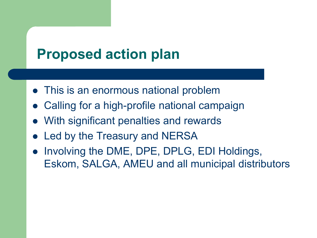## **Proposed action plan**

- This is an enormous national problem
- Calling for a high-profile national campaign
- With significant penalties and rewards
- Led by the Treasury and NERSA
- Involving the DME, DPE, DPLG, EDI Holdings, Eskom, SALGA, AMEU and all municipal distributors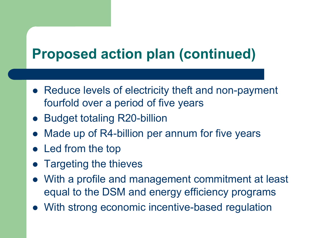## **Proposed action plan (continued)**

- Reduce levels of electricity theft and non-payment fourfold over a period of five years
- Budget totaling R20-billion
- Made up of R4-billion per annum for five years
- Led from the top
- Targeting the thieves
- With a profile and management commitment at least equal to the DSM and energy efficiency programs
- With strong economic incentive-based regulation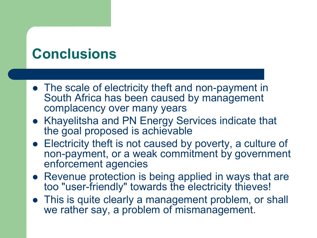## **Conclusions**

- The scale of electricity theft and non-payment in South Africa has been caused by management complacency over many years
- Khayelitsha and PN Energy Services indicate that the goal proposed is achievable
- Electricity theft is not caused by poverty, a culture of non-payment, or a weak commitment by government enforcement agencies
- Revenue protection is being applied in ways that are too "user-friendly" towards the electricity thieves!
- This is quite clearly a management problem, or shall we rather say, a problem of mismanagement.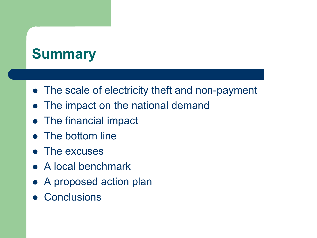## **Summary**

- The scale of electricity theft and non-payment
- The impact on the national demand
- The financial impact
- The bottom line
- The excuses
- A local benchmark
- A proposed action plan
- **Conclusions**